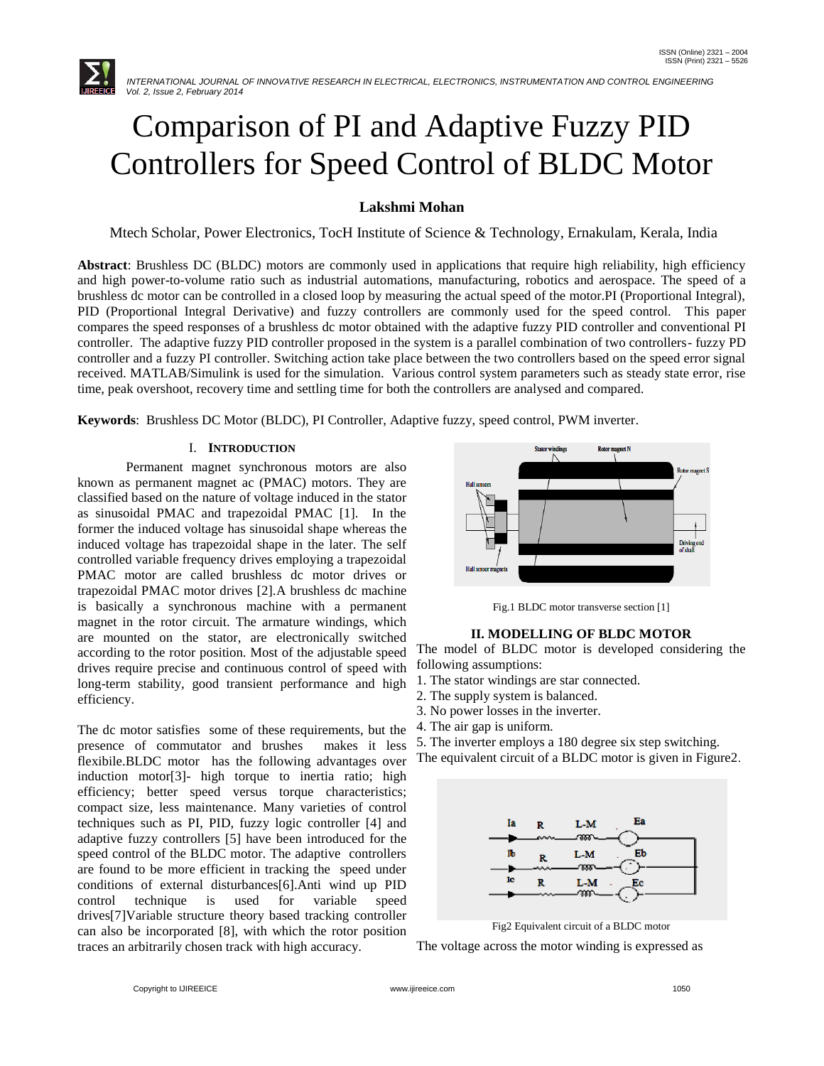

# Comparison of PI and Adaptive Fuzzy PID Controllers for Speed Control of BLDC Motor

## **Lakshmi Mohan**

Mtech Scholar, Power Electronics, TocH Institute of Science & Technology, Ernakulam, Kerala, India

**Abstract**: Brushless DC (BLDC) motors are commonly used in applications that require high reliability, high efficiency and high power-to-volume ratio such as industrial automations, manufacturing, robotics and aerospace. The speed of a brushless dc motor can be controlled in a closed loop by measuring the actual speed of the motor.PI (Proportional Integral), PID (Proportional Integral Derivative) and fuzzy controllers are commonly used for the speed control. This paper compares the speed responses of a brushless dc motor obtained with the adaptive fuzzy PID controller and conventional PI controller. The adaptive fuzzy PID controller proposed in the system is a parallel combination of two controllers- fuzzy PD controller and a fuzzy PI controller. Switching action take place between the two controllers based on the speed error signal received. MATLAB/Simulink is used for the simulation. Various control system parameters such as steady state error, rise time, peak overshoot, recovery time and settling time for both the controllers are analysed and compared.

**Keywords**: Brushless DC Motor (BLDC), PI Controller, Adaptive fuzzy, speed control, PWM inverter.

## I. **INTRODUCTION**

Permanent magnet synchronous motors are also known as permanent magnet ac (PMAC) motors. They are classified based on the nature of voltage induced in the stator as sinusoidal PMAC and trapezoidal PMAC [1]. In the former the induced voltage has sinusoidal shape whereas the induced voltage has trapezoidal shape in the later. The self controlled variable frequency drives employing a trapezoidal PMAC motor are called brushless dc motor drives or trapezoidal PMAC motor drives [2].A brushless dc machine is basically a synchronous machine with a permanent magnet in the rotor circuit. The armature windings, which are mounted on the stator, are electronically switched according to the rotor position. Most of the adjustable speed drives require precise and continuous control of speed with long-term stability, good transient performance and high efficiency.

The dc motor satisfies some of these requirements, but the presence of commutator and brushes makes it less flexibile.BLDC motor has the following advantages over induction motor[3]- high torque to inertia ratio; high efficiency; better speed versus torque characteristics; compact size, less maintenance. Many varieties of control techniques such as PI, PID, fuzzy logic controller [4] and adaptive fuzzy controllers [5] have been introduced for the speed control of the BLDC motor. The adaptive controllers are found to be more efficient in tracking the speed under conditions of external disturbances[6].Anti wind up PID control technique is used for variable speed drives[7]Variable structure theory based tracking controller can also be incorporated [8], with which the rotor position traces an arbitrarily chosen track with high accuracy.



Fig.1 BLDC motor transverse section [1]

### **II. MODELLING OF BLDC MOTOR**

The model of BLDC motor is developed considering the following assumptions:

- 1. The stator windings are star connected.
- 2. The supply system is balanced.
- 3. No power losses in the inverter.
- 4. The air gap is uniform.
- 5. The inverter employs a 180 degree six step switching.

The equivalent circuit of a BLDC motor is given in Figure2.



Fig2 Equivalent circuit of a BLDC motor

The voltage across the motor winding is expressed as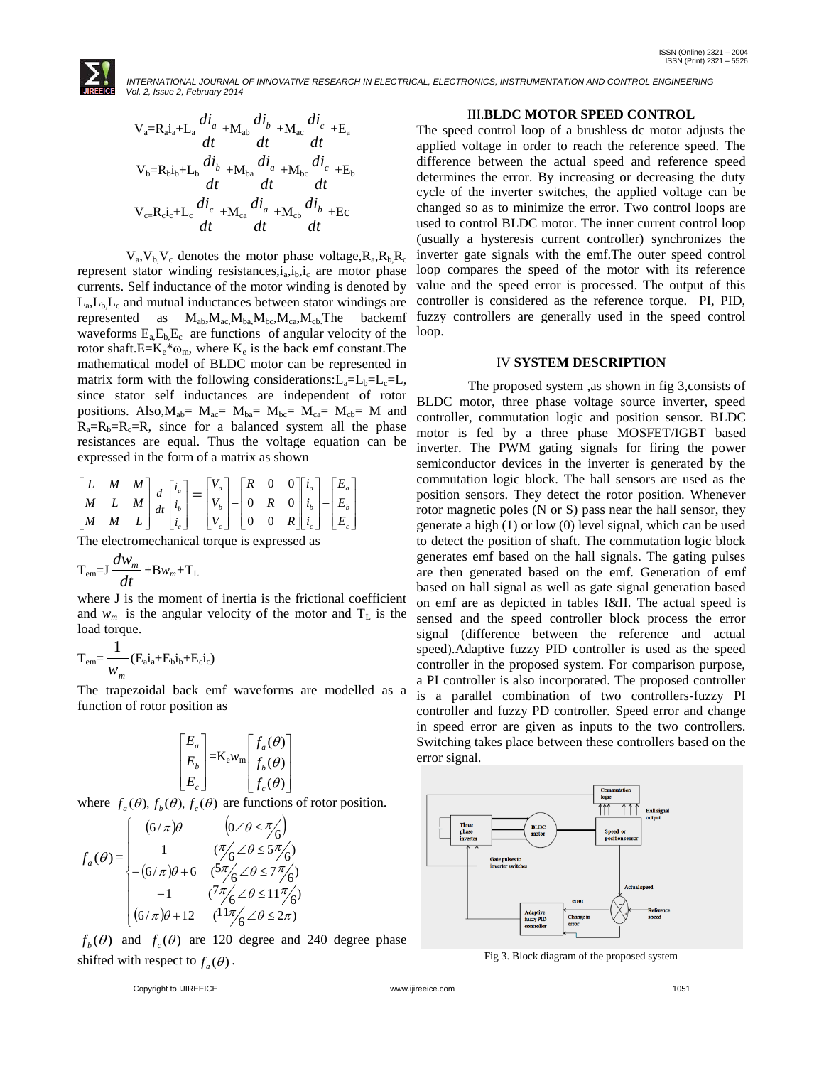

$$
V_a = R_a i_a + L_a \frac{di_a}{dt} + M_{ab} \frac{di_b}{dt} + M_{ac} \frac{di_c}{dt} + E_a
$$
  
\n
$$
V_b = R_b i_b + L_b \frac{di_b}{dt} + M_{ba} \frac{di_a}{dt} + M_{bc} \frac{di_c}{dt} + E_b
$$
  
\n
$$
V_{c} = R_c i_c + L_c \frac{di_c}{dt} + M_{ca} \frac{di_a}{dt} + M_{cb} \frac{di_b}{dt} + E_c
$$

 $V_a$ ,  $V_b$ ,  $V_c$  denotes the motor phase voltage,  $R_a$ ,  $R_b$ ,  $R_c$ represent stator winding resistances, $i_a$ , $i_b$ , $i_c$  are motor phase currents. Self inductance of the motor winding is denoted by  $L_a, L_b, L_c$  and mutual inductances between stator windings are represented as  $M_{ab}$ ,  $M_{ac}$ ,  $M_{ba}$ ,  $M_{bc}$ ,  $M_{ca}$ ,  $M_{cb}$ , The backemf waveforms  $E_aE_bE_c$  are functions of angular velocity of the rotor shaft. $E = K_e^* \omega_m$ , where  $K_e$  is the back emf constant. The mathematical model of BLDC motor can be represented in matrix form with the following considerations: $L_a=L_b=L_c=L$ , since stator self inductances are independent of rotor positions. Also,  $M_{ab} = M_{ac} = M_{ba} = M_{bc} = M_{ca} = M_{cb} = M$  and  $R_a=R_b=R_c=R$ , since for a balanced system all the phase resistances are equal. Thus the voltage equation can be expressed in the form of a matrix as shown

$$
\begin{bmatrix} L & M & M \\ M & L & M \\ M & M & L \end{bmatrix} \frac{d}{dt} \begin{bmatrix} i_a \\ i_b \\ i_c \end{bmatrix} = \begin{bmatrix} V_a \\ V_b \\ V_c \end{bmatrix} - \begin{bmatrix} R & 0 & 0 \\ 0 & R & 0 \\ 0 & 0 & R \end{bmatrix} \begin{bmatrix} i_a \\ i_b \\ i_c \end{bmatrix} - \begin{bmatrix} E_a \\ E_b \\ E_c \end{bmatrix}
$$

The electromechanical torque is expressed as

$$
T_{em} = J \frac{dw_m}{dt} + Bw_m + T_L
$$

where J is the moment of inertia is the frictional coefficient and  $w_m$  is the angular velocity of the motor and  $T_L$  is the load torque.

$$
T_{em} = \frac{1}{w_m} (E_a i_a + E_b i_b + E_c i_c)
$$

The trapezoidal back emf waveforms are modelled as a function of rotor position as

$$
\begin{bmatrix} E_a \\ E_b \\ E_c \end{bmatrix} = \mathbf{K}_e w_m \begin{bmatrix} f_a(\theta) \\ f_b(\theta) \\ f_c(\theta) \end{bmatrix}
$$

where  $f_a(\theta)$ ,  $f_b(\theta)$ ,  $f_c(\theta)$  are functions of rotor position.

$$
f_a(\theta) = \begin{cases} (6/\pi)\theta & (0 \angle \theta \le \pi/6) \\ 1 & (\pi/6 \angle \theta \le 5\pi/6) \\ -(6/\pi)\theta + 6 & (5\pi/6 \angle \theta \le 7\pi/6) \\ -1 & (\pi/6 \angle \theta \le 11\pi/6) \\ (6/\pi)\theta + 12 & (11\pi/6 \angle \theta \le 2\pi) \end{cases}
$$

 $f_b(\theta)$  and  $f_c(\theta)$  are 120 degree and 240 degree phase shifted with respect to  $f_a(\theta)$ .

#### III.**BLDC MOTOR SPEED CONTROL**

The speed control loop of a brushless dc motor adjusts the applied voltage in order to reach the reference speed. The difference between the actual speed and reference speed determines the error. By increasing or decreasing the duty cycle of the inverter switches, the applied voltage can be changed so as to minimize the error. Two control loops are used to control BLDC motor. The inner current control loop (usually a hysteresis current controller) synchronizes the inverter gate signals with the emf.The outer speed control loop compares the speed of the motor with its reference value and the speed error is processed. The output of this controller is considered as the reference torque. PI, PID, fuzzy controllers are generally used in the speed control loop.

### IV **SYSTEM DESCRIPTION**

 The proposed system ,as shown in fig 3,consists of BLDC motor, three phase voltage source inverter, speed controller, commutation logic and position sensor. BLDC motor is fed by a three phase MOSFET/IGBT based inverter. The PWM gating signals for firing the power semiconductor devices in the inverter is generated by the commutation logic block. The hall sensors are used as the position sensors. They detect the rotor position. Whenever rotor magnetic poles (N or S) pass near the hall sensor, they generate a high (1) or low (0) level signal, which can be used to detect the position of shaft. The commutation logic block generates emf based on the hall signals. The gating pulses are then generated based on the emf. Generation of emf based on hall signal as well as gate signal generation based on emf are as depicted in tables I&II. The actual speed is sensed and the speed controller block process the error signal (difference between the reference and actual speed).Adaptive fuzzy PID controller is used as the speed controller in the proposed system. For comparison purpose, a PI controller is also incorporated. The proposed controller is a parallel combination of two controllers-fuzzy PI controller and fuzzy PD controller. Speed error and change in speed error are given as inputs to the two controllers. Switching takes place between these controllers based on the error signal.



Fig 3. Block diagram of the proposed system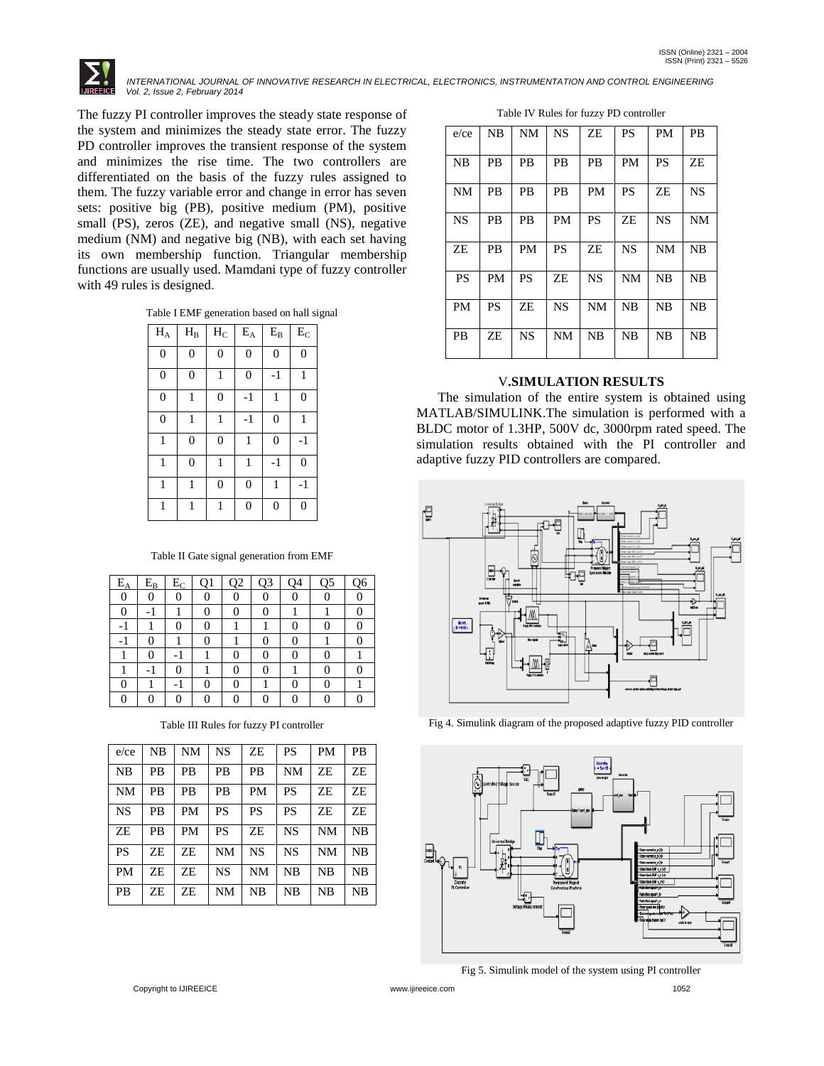The fuzzy PI controller improves the steady state response of the system and minimizes the steady state error. The fuzzy PD controller improves the transient response of the system and minimizes the rise time. The two controllers are differentiated on the basis of the fuzzy rules assigned to them. The fuzzy variable error and change in error has seven sets: positive big (PB), positive medium (PM), positive small (PS), zeros (ZE), and negative small (NS), negative medium (NM) and negative big (NB), with each set having its own membership function. Triangular membership functions are usually used. Mamdani type of fuzzy controller with 49 rules is designed.

Table I EMF generation based on hall signal

| $\rm H_A$      | $\rm H_{B}$    | $\rm\,H_{C}$   | $\mathbf{\bar{E}}_{\text{A}}$ | $\rm E_{B}$    | $E_{C}$          |
|----------------|----------------|----------------|-------------------------------|----------------|------------------|
| $\overline{0}$ | $\overline{0}$ | $\mathbf{0}$   | $\mathbf{0}$                  | $\mathbf{0}$   | $\overline{0}$   |
| $\overline{0}$ | $\overline{0}$ | 1              | $\overline{0}$                | $-1$           | 1                |
| $\overline{0}$ | 1              | $\overline{0}$ | $-1$                          | 1              | $\overline{0}$   |
| $\mathbf{0}$   | 1              | 1              | $-1$                          | $\mathbf{0}$   | 1                |
| $\mathbf{1}$   | $\overline{0}$ | $\overline{0}$ | 1                             | $\overline{0}$ | $-1$             |
| 1              | $\overline{0}$ | 1              | 1                             | $-1$           | $\boldsymbol{0}$ |
| $\mathbf{1}$   | 1              | $\mathbf{0}$   | $\overline{0}$                | 1              | $-1$             |
| 1              | 1              | 1              | $\overline{0}$                | $\overline{0}$ | $\overline{0}$   |

Table II Gate signal generation from EMF

| $E_A$ | $E_B$ | $E_C$ | O1 | Q2 | Q <sub>3</sub> | 04 | O <sub>5</sub> | Q <sub>6</sub> |
|-------|-------|-------|----|----|----------------|----|----------------|----------------|
| 0     |       |       |    | 0  |                |    |                |                |
| 0     |       |       | 0  | 0  |                |    |                |                |
| -1    |       |       | 0  |    |                |    | O              |                |
| - 1   |       |       | 0  |    |                |    |                |                |
|       | 0     |       |    | 0  |                |    |                |                |
|       |       |       |    | 0  |                |    |                |                |
| 0     |       |       | 0  | 0  |                |    |                |                |
| 0     |       |       |    | 0  |                |    |                |                |

Table III Rules for fuzzy PI controller

| $e$ / $ce$ | NΒ | NΜ        | NS        | ZE        | PS        | PM        | <b>PB</b> |
|------------|----|-----------|-----------|-----------|-----------|-----------|-----------|
| <b>NB</b>  | PB | PB        | PB        | PB        | <b>NM</b> | ΖE        | ΖE        |
| <b>NM</b>  | PB | PB        | PB        | PM        | PS        | ΖE        | ΖE        |
| <b>NS</b>  | PB | <b>PM</b> | PS        | PS        | PS        | ΖE        | ΖE        |
| ZE         | PB | PM        | PS        | ZE        | NS        | <b>NM</b> | NB        |
| <b>PS</b>  | ΖE | ΖE        | <b>NM</b> | <b>NS</b> | NS        | <b>NM</b> | NB        |
| PM         | ΖE | ΖE        | <b>NS</b> | <b>NM</b> | NB        | NB        | NB        |
| <b>PB</b>  | ZE | ZE        | NΜ        | NB        | NB        | NB        | NB        |

| Table IV Rules for fuzzy PD controller |  |  |  |
|----------------------------------------|--|--|--|
|----------------------------------------|--|--|--|

| $e$ / $ce$ | <b>NB</b> | NM        | <b>NS</b> | ZE        | PS        | PM        | <b>PB</b> |
|------------|-----------|-----------|-----------|-----------|-----------|-----------|-----------|
| NB         | <b>PB</b> | РB        | <b>PB</b> | <b>PB</b> | PM        | <b>PS</b> | ΖE        |
| NM         | PB        | <b>PB</b> | <b>PB</b> | <b>PM</b> | PS        | ΖE        | <b>NS</b> |
| <b>NS</b>  | <b>PB</b> | <b>PB</b> | <b>PM</b> | <b>PS</b> | ZE        | <b>NS</b> | <b>NM</b> |
| ZE         | <b>PB</b> | PM        | <b>PS</b> | ZE        | <b>NS</b> | <b>NM</b> | NB        |
| <b>PS</b>  | <b>PM</b> | <b>PS</b> | ΖE        | <b>NS</b> | <b>NM</b> | <b>NB</b> | <b>NB</b> |
| <b>PM</b>  | <b>PS</b> | ΖE        | <b>NS</b> | <b>NM</b> | NB        | <b>NB</b> | <b>NB</b> |
| <b>PB</b>  | ΖE        | <b>NS</b> | <b>NM</b> | <b>NB</b> | <b>NB</b> | <b>NB</b> | <b>NB</b> |

### V**.SIMULATION RESULTS**

 The simulation of the entire system is obtained using MATLAB/SIMULINK.The simulation is performed with a BLDC motor of 1.3HP, 500V dc, 3000rpm rated speed. The simulation results obtained with the PI controller and adaptive fuzzy PID controllers are compared.



Fig 4. Simulink diagram of the proposed adaptive fuzzy PID controller



Fig 5. Simulink model of the system using PI controller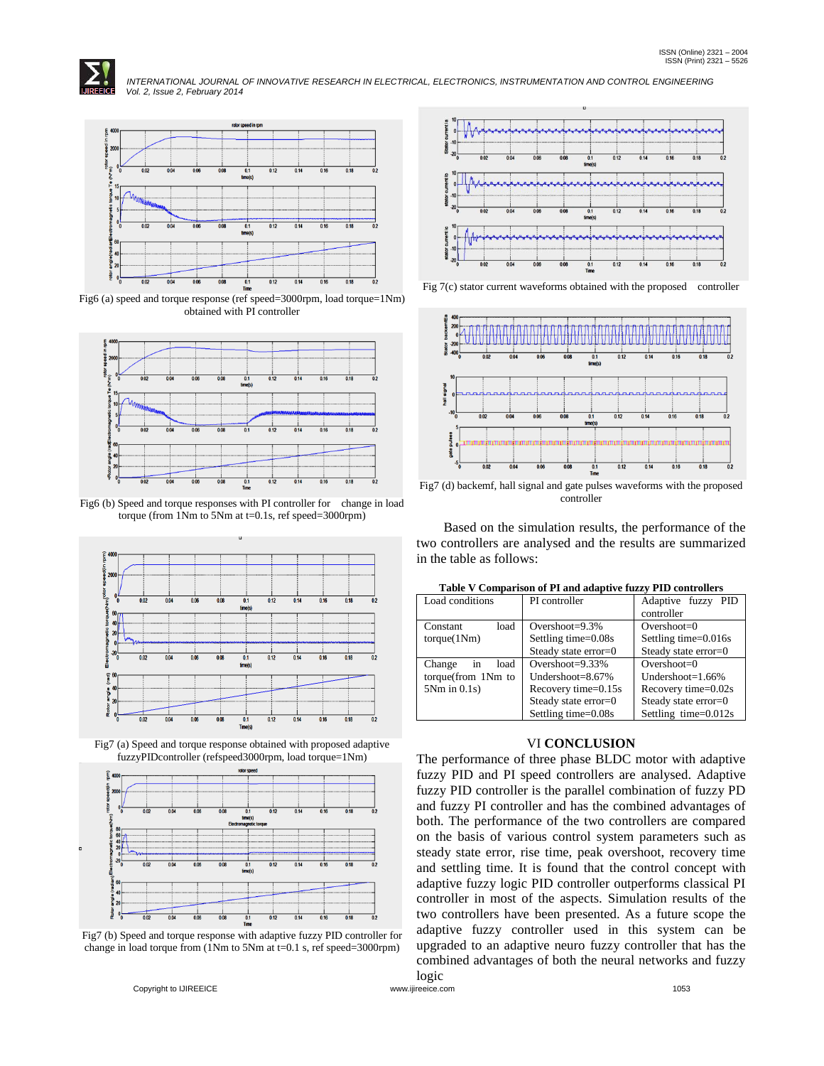



Fig6 (a) speed and torque response (ref speed=3000rpm, load torque=1Nm) obtained with PI controller



Fig6 (b) Speed and torque responses with PI controller for change in load torque (from  $1Nm$  to  $5Nm$  at  $t=0.1s$ , ref speed=3000rpm)



Fig7 (a) Speed and torque response obtained with proposed adaptive fuzzyPIDcontroller (refspeed3000rpm, load torque=1Nm)



Fig7 (b) Speed and torque response with adaptive fuzzy PID controller for change in load torque from (1Nm to 5Nm at t=0.1 s, ref speed=3000rpm)



Fig 7(c) stator current waveforms obtained with the proposed controller



controller

 Based on the simulation results, the performance of the two controllers are analysed and the results are summarized in the table as follows:

| Load conditions      | PI controller        | Adaptive fuzzy PID<br>controller |
|----------------------|----------------------|----------------------------------|
| load<br>Constant     | Overshoot= $9.3\%$   | Overshoot= $0$                   |
| torque(1Nm)          | Settling time=0.08s  | Settling time=0.016s             |
|                      | Steady state error=0 | Steady state error=0             |
| load<br>in<br>Change | Overshoot= $9.33\%$  | Overshoot= $0$                   |
| torque(from 1Nm to   | Undershoot= $8.67\%$ | Undershoot= $1.66\%$             |
| $5Nm$ in $0.1s$ )    | Recovery time=0.15s  | Recovery time=0.02s              |
|                      | Steady state error=0 | Steady state error=0             |
|                      | Settling time=0.08s  | Settling time=0.012s             |

**Table V Comparison of PI and adaptive fuzzy PID controllers**

### VI **CONCLUSION**

The performance of three phase BLDC motor with adaptive fuzzy PID and PI speed controllers are analysed. Adaptive fuzzy PID controller is the parallel combination of fuzzy PD and fuzzy PI controller and has the combined advantages of both. The performance of the two controllers are compared on the basis of various control system parameters such as steady state error, rise time, peak overshoot, recovery time and settling time. It is found that the control concept with adaptive fuzzy logic PID controller outperforms classical PI controller in most of the aspects. Simulation results of the two controllers have been presented. As a future scope the adaptive fuzzy controller used in this system can be upgraded to an adaptive neuro fuzzy controller that has the combined advantages of both the neural networks and fuzzy logic

Copyright to IJIREEICE [www.ijireeice.com](http://www.ijireeice.com/) 1053